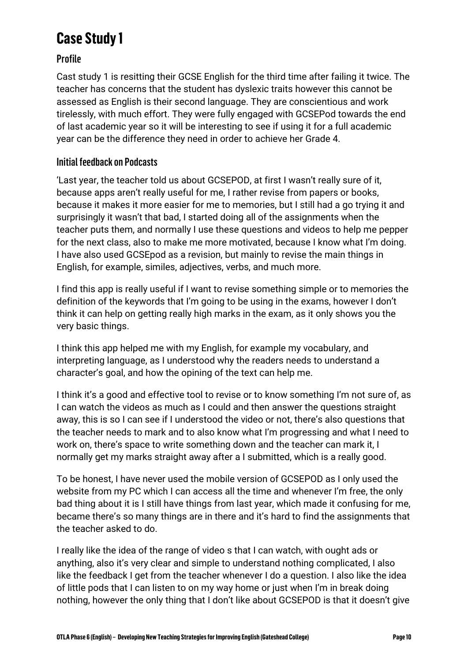## **Case Study1**

## Profile

Cast study 1 is resitting their GCSE English for the third time after failing it twice. The teacher has concerns that the student has dyslexic traits however this cannot be assessed as English is their second language. They are conscientious and work tirelessly, with much effort. They were fully engaged with GCSEPod towards the end of last academic year so it will be interesting to see if using it for a full academic year can be the difference they need in order to achieve her Grade 4.

## Initial feedback on Podcasts

'Last year, the teacher told us about GCSEPOD, at first I wasn't really sure of it, because apps aren't really useful for me, I rather revise from papers or books, because it makes it more easier for me to memories, but I still had a go trying it and surprisingly it wasn't that bad, I started doing all of the assignments when the teacher puts them, and normally I use these questions and videos to help me pepper for the next class, also to make me more motivated, because I know what I'm doing. I have also used GCSEpod as a revision, but mainly to revise the main things in English, for example, similes, adjectives, verbs, and much more.

I find this app is really useful if I want to revise something simple or to memories the definition of the keywords that I'm going to be using in the exams, however I don't think it can help on getting really high marks in the exam, as it only shows you the very basic things.

I think this app helped me with my English, for example my vocabulary, and interpreting language, as I understood why the readers needs to understand a character's goal, and how the opining of the text can help me.

I think it's a good and effective tool to revise or to know something I'm not sure of, as I can watch the videos as much as I could and then answer the questions straight away, this is so I can see if I understood the video or not, there's also questions that the teacher needs to mark and to also know what I'm progressing and what I need to work on, there's space to write something down and the teacher can mark it, I normally get my marks straight away after a I submitted, which is a really good.

To be honest, I have never used the mobile version of GCSEPOD as I only used the website from my PC which I can access all the time and whenever I'm free, the only bad thing about it is I still have things from last year, which made it confusing for me, became there's so many things are in there and it's hard to find the assignments that the teacher asked to do.

I really like the idea of the range of video s that I can watch, with ought ads or anything, also it's very clear and simple to understand nothing complicated, I also like the feedback I get from the teacher whenever I do a question. I also like the idea of little pods that I can listen to on my way home or just when I'm in break doing nothing, however the only thing that I don't like about GCSEPOD is that it doesn't give